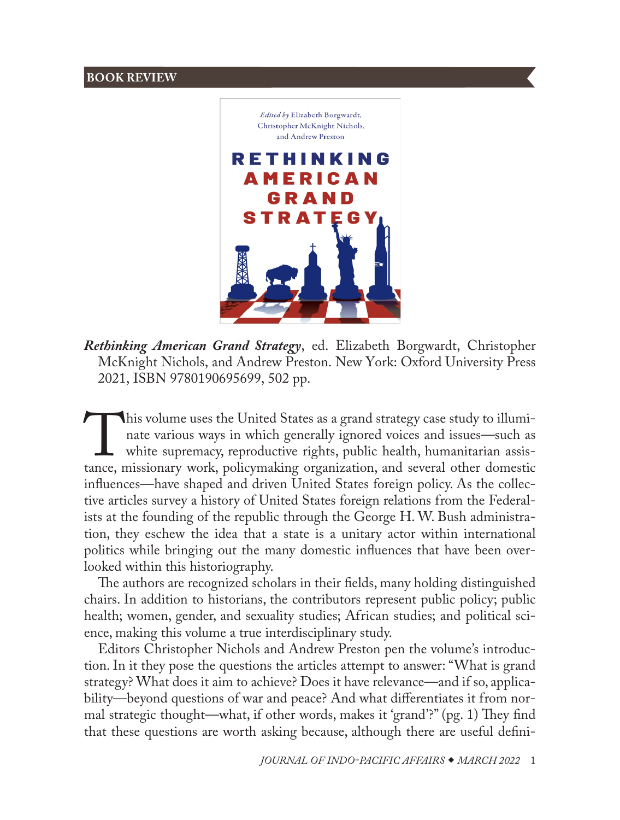

*Rethinking American Grand Strategy*, ed. Elizabeth Borgwardt, Christopher McKnight Nichols, and Andrew Preston. New York: Oxford University Press 2021, ISBN 9780190695699, 502 pp.

This volume uses the United States as a grand strategy case study to illuminate various ways in which generally ignored voices and issues—such as white supremacy, reproductive rights, public health, humanitarian assistance nate various ways in which generally ignored voices and issues—such as white supremacy, reproductive rights, public health, humanitarian assistance, missionary work, policymaking organization, and several other domestic influences—have shaped and driven United States foreign policy. As the collective articles survey a history of United States foreign relations from the Federalists at the founding of the republic through the George H. W. Bush administration, they eschew the idea that a state is a unitary actor within international politics while bringing out the many domestic influences that have been overlooked within this historiography.

The authors are recognized scholars in their fields, many holding distinguished chairs. In addition to historians, the contributors represent public policy; public health; women, gender, and sexuality studies; African studies; and political science, making this volume a true interdisciplinary study.

Editors Christopher Nichols and Andrew Preston pen the volume's introduction. In it they pose the questions the articles attempt to answer: "What is grand strategy? What does it aim to achieve? Does it have relevance—and if so, applicability—beyond questions of war and peace? And what differentiates it from normal strategic thought—what, if other words, makes it 'grand'?" (pg. 1) They find that these questions are worth asking because, although there are useful defini-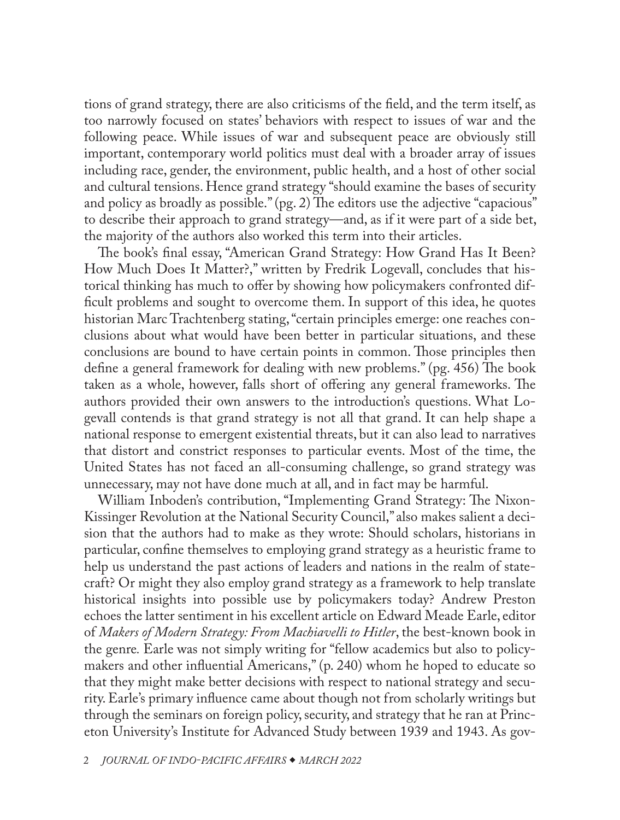tions of grand strategy, there are also criticisms of the field, and the term itself, as too narrowly focused on states' behaviors with respect to issues of war and the following peace. While issues of war and subsequent peace are obviously still important, contemporary world politics must deal with a broader array of issues including race, gender, the environment, public health, and a host of other social and cultural tensions. Hence grand strategy "should examine the bases of security and policy as broadly as possible." (pg. 2) The editors use the adjective "capacious" to describe their approach to grand strategy—and, as if it were part of a side bet, the majority of the authors also worked this term into their articles.

The book's final essay, "American Grand Strategy: How Grand Has It Been? How Much Does It Matter?," written by Fredrik Logevall, concludes that historical thinking has much to offer by showing how policymakers confronted difficult problems and sought to overcome them. In support of this idea, he quotes historian Marc Trachtenberg stating, "certain principles emerge: one reaches conclusions about what would have been better in particular situations, and these conclusions are bound to have certain points in common. Those principles then define a general framework for dealing with new problems." (pg. 456) The book taken as a whole, however, falls short of offering any general frameworks. The authors provided their own answers to the introduction's questions. What Logevall contends is that grand strategy is not all that grand. It can help shape a national response to emergent existential threats, but it can also lead to narratives that distort and constrict responses to particular events. Most of the time, the United States has not faced an all-consuming challenge, so grand strategy was unnecessary, may not have done much at all, and in fact may be harmful.

William Inboden's contribution, "Implementing Grand Strategy: The Nixon-Kissinger Revolution at the National Security Council," also makes salient a decision that the authors had to make as they wrote: Should scholars, historians in particular, confine themselves to employing grand strategy as a heuristic frame to help us understand the past actions of leaders and nations in the realm of statecraft? Or might they also employ grand strategy as a framework to help translate historical insights into possible use by policymakers today? Andrew Preston echoes the latter sentiment in his excellent article on Edward Meade Earle, editor of *Makers of Modern Strategy: From Machiavelli to Hitler*, the best-known book in the genre*.* Earle was not simply writing for "fellow academics but also to policymakers and other influential Americans," (p. 240) whom he hoped to educate so that they might make better decisions with respect to national strategy and security. Earle's primary influence came about though not from scholarly writings but through the seminars on foreign policy, security, and strategy that he ran at Princeton University's Institute for Advanced Study between 1939 and 1943. As gov-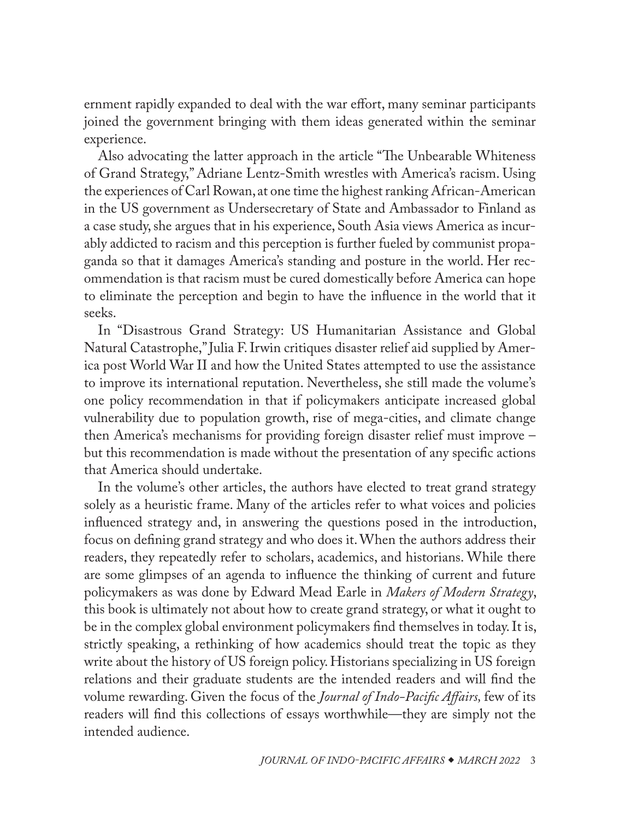ernment rapidly expanded to deal with the war effort, many seminar participants joined the government bringing with them ideas generated within the seminar experience.

Also advocating the latter approach in the article "The Unbearable Whiteness of Grand Strategy," Adriane Lentz-Smith wrestles with America's racism. Using the experiences of Carl Rowan, at one time the highest ranking African-American in the US government as Undersecretary of State and Ambassador to Finland as a case study, she argues that in his experience, South Asia views America as incurably addicted to racism and this perception is further fueled by communist propaganda so that it damages America's standing and posture in the world. Her recommendation is that racism must be cured domestically before America can hope to eliminate the perception and begin to have the influence in the world that it seeks.

In "Disastrous Grand Strategy: US Humanitarian Assistance and Global Natural Catastrophe," Julia F. Irwin critiques disaster relief aid supplied by America post World War II and how the United States attempted to use the assistance to improve its international reputation. Nevertheless, she still made the volume's one policy recommendation in that if policymakers anticipate increased global vulnerability due to population growth, rise of mega-cities, and climate change then America's mechanisms for providing foreign disaster relief must improve – but this recommendation is made without the presentation of any specific actions that America should undertake.

In the volume's other articles, the authors have elected to treat grand strategy solely as a heuristic frame. Many of the articles refer to what voices and policies influenced strategy and, in answering the questions posed in the introduction, focus on defining grand strategy and who does it. When the authors address their readers, they repeatedly refer to scholars, academics, and historians. While there are some glimpses of an agenda to influence the thinking of current and future policymakers as was done by Edward Mead Earle in *Makers of Modern Strategy*, this book is ultimately not about how to create grand strategy, or what it ought to be in the complex global environment policymakers find themselves in today. It is, strictly speaking, a rethinking of how academics should treat the topic as they write about the history of US foreign policy. Historians specializing in US foreign relations and their graduate students are the intended readers and will find the volume rewarding. Given the focus of the *Journal of Indo-Pacific Affairs,* few of its readers will find this collections of essays worthwhile—they are simply not the intended audience.